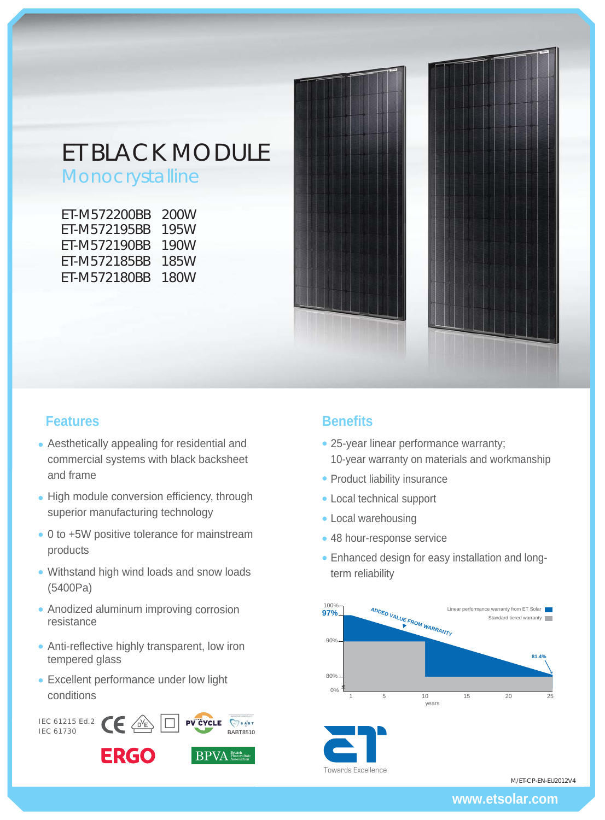# ET BLACK MODULE

Monocrystalline

| ET-M572200BB | 200W |
|--------------|------|
| ET-M572195BB | 195W |
| ET-M572190BB | 190W |
| ET-M572185BB | 185W |
| ET-M572180BB | 180W |
|              |      |



## **Features Benefits**

- Aesthetically appealing for residential and commercial systems with black backsheet and frame
- High module conversion efficiency, through superior manufacturing technology
- 0 to +5W positive tolerance for mainstream products
- Withstand high wind loads and snow loads (5400Pa)
- Anodized aluminum improving corrosion resistance
- Anti-reflective highly transparent, low iron tempered glass
- Excellent performance under low light conditions



- 25-year linear performance warranty; 10-year warranty on materials and workmanship
- Product liability insurance
- Local technical support
- Local warehousing
- 48 hour-response service
- Enhanced design for easy installation and longterm reliability





M/ET-CP-EN-EU2012V4